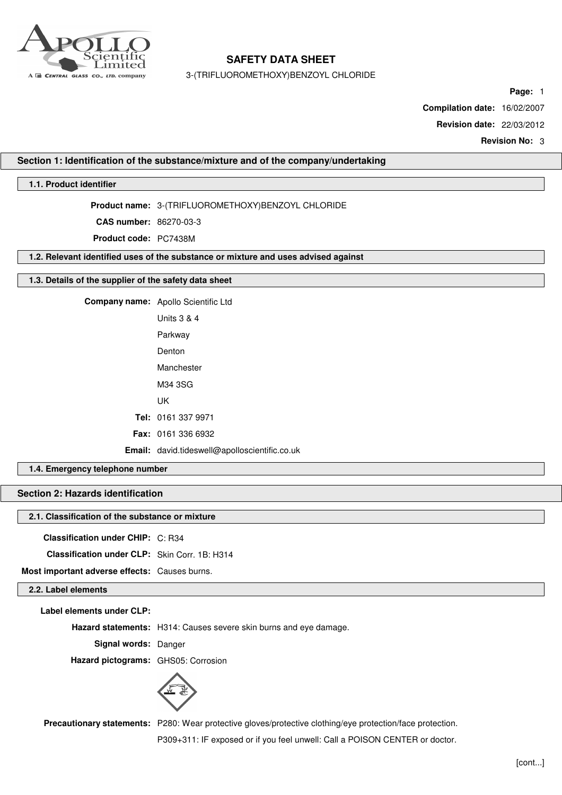

3-(TRIFLUOROMETHOXY)BENZOYL CHLORIDE

**Page:** 1

**Compilation date:** 16/02/2007

**Revision date:** 22/03/2012

**Revision No:** 3

## **Section 1: Identification of the substance/mixture and of the company/undertaking**

# **1.1. Product identifier**

**Product name:** 3-(TRIFLUOROMETHOXY)BENZOYL CHLORIDE

**CAS number:** 86270-03-3

**Product code:** PC7438M

**1.2. Relevant identified uses of the substance or mixture and uses advised against**

## **1.3. Details of the supplier of the safety data sheet**

**Company name:** Apollo Scientific Ltd Units 3 & 4 Parkway Denton Manchester M34 3SG UK **Tel:** 0161 337 9971 **Fax:** 0161 336 6932 **Email:** david.tideswell@apolloscientific.co.uk

# **1.4. Emergency telephone number**

# **Section 2: Hazards identification**

## **2.1. Classification of the substance or mixture**

**Classification under CHIP:** C: R34

**Classification under CLP:** Skin Corr. 1B: H314

**Most important adverse effects:** Causes burns.

# **2.2. Label elements**

**Label elements under CLP:**

**Hazard statements:** H314: Causes severe skin burns and eye damage.

**Signal words:** Danger

**Hazard pictograms:** GHS05: Corrosion



**Precautionary statements:** P280: Wear protective gloves/protective clothing/eye protection/face protection.

P309+311: IF exposed or if you feel unwell: Call a POISON CENTER or doctor.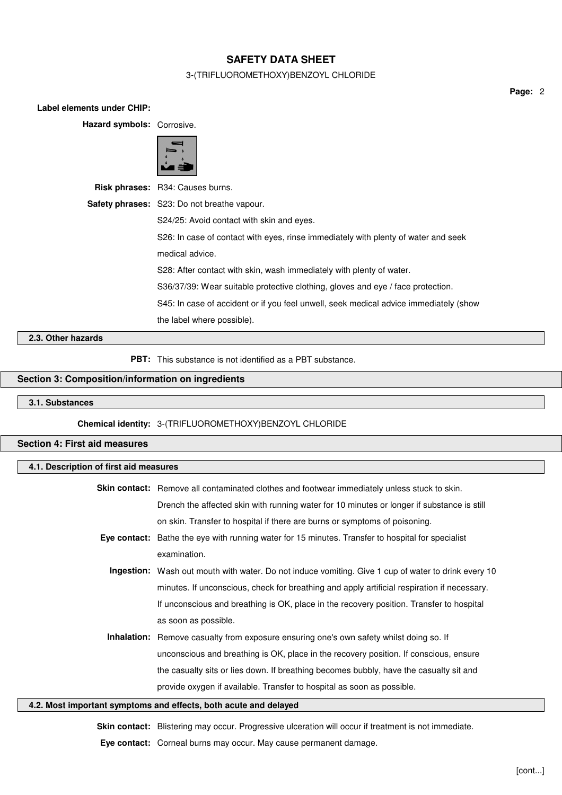# 3-(TRIFLUOROMETHOXY)BENZOYL CHLORIDE

**Page:** 2

| Label elements under CHIP:                                                         |                                                                                       |  |  |  |
|------------------------------------------------------------------------------------|---------------------------------------------------------------------------------------|--|--|--|
| Hazard symbols: Corrosive.                                                         |                                                                                       |  |  |  |
|                                                                                    |                                                                                       |  |  |  |
|                                                                                    | Risk phrases: R34: Causes burns.                                                      |  |  |  |
|                                                                                    | Safety phrases: S23: Do not breathe vapour.                                           |  |  |  |
|                                                                                    | S24/25: Avoid contact with skin and eyes.                                             |  |  |  |
| S26: In case of contact with eyes, rinse immediately with plenty of water and seek |                                                                                       |  |  |  |
|                                                                                    | medical advice.                                                                       |  |  |  |
|                                                                                    | S28: After contact with skin, wash immediately with plenty of water.                  |  |  |  |
|                                                                                    | S36/37/39: Wear suitable protective clothing, gloves and eye / face protection.       |  |  |  |
|                                                                                    | S45: In case of accident or if you feel unwell, seek medical advice immediately (show |  |  |  |
|                                                                                    | the label where possible).                                                            |  |  |  |
| 2.3. Other hazards                                                                 |                                                                                       |  |  |  |
|                                                                                    |                                                                                       |  |  |  |

**PBT:** This substance is not identified as a PBT substance.

# **Section 3: Composition/information on ingredients**

**3.1. Substances**

**Chemical identity:** 3-(TRIFLUOROMETHOXY)BENZOYL CHLORIDE

# **Section 4: First aid measures**

## **4.1. Description of first aid measures**

| <b>Skin contact:</b> Remove all contaminated clothes and footwear immediately unless stuck to skin.        |  |
|------------------------------------------------------------------------------------------------------------|--|
| Drench the affected skin with running water for 10 minutes or longer if substance is still                 |  |
| on skin. Transfer to hospital if there are burns or symptoms of poisoning.                                 |  |
| Eye contact: Bathe the eye with running water for 15 minutes. Transfer to hospital for specialist          |  |
| examination.                                                                                               |  |
| <b>Ingestion:</b> Wash out mouth with water. Do not induce vomiting. Give 1 cup of water to drink every 10 |  |
| minutes. If unconscious, check for breathing and apply artificial respiration if necessary.                |  |
| If unconscious and breathing is OK, place in the recovery position. Transfer to hospital                   |  |
| as soon as possible.                                                                                       |  |
| <b>Inhalation:</b> Remove casualty from exposure ensuring one's own safety whilst doing so. If             |  |
| unconscious and breathing is OK, place in the recovery position. If conscious, ensure                      |  |
| the casualty sits or lies down. If breathing becomes bubbly, have the casualty sit and                     |  |
| provide oxygen if available. Transfer to hospital as soon as possible.                                     |  |

## **4.2. Most important symptoms and effects, both acute and delayed**

Skin contact: Blistering may occur. Progressive ulceration will occur if treatment is not immediate. **Eye contact:** Corneal burns may occur. May cause permanent damage.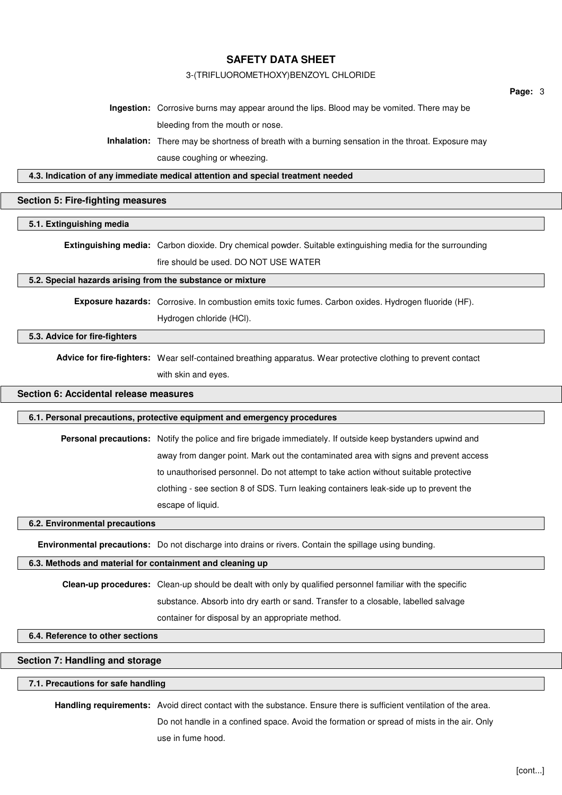## 3-(TRIFLUOROMETHOXY)BENZOYL CHLORIDE

**Ingestion:** Corrosive burns may appear around the lips. Blood may be vomited. There may be bleeding from the mouth or nose.

**Inhalation:** There may be shortness of breath with a burning sensation in the throat. Exposure may cause coughing or wheezing.

**4.3. Indication of any immediate medical attention and special treatment needed**

# **Section 5: Fire-fighting measures**

**5.1. Extinguishing media**

**Extinguishing media:** Carbon dioxide. Dry chemical powder. Suitable extinguishing media for the surrounding fire should be used. DO NOT USE WATER

#### **5.2. Special hazards arising from the substance or mixture**

**Exposure hazards:** Corrosive. In combustion emits toxic fumes. Carbon oxides. Hydrogen fluoride (HF). Hydrogen chloride (HCl).

# **5.3. Advice for fire-fighters**

**Advice for fire-fighters:** Wear self-contained breathing apparatus. Wear protective clothing to prevent contact with skin and eyes.

# **Section 6: Accidental release measures**

## **6.1. Personal precautions, protective equipment and emergency procedures**

**Personal precautions:** Notify the police and fire brigade immediately. If outside keep bystanders upwind and away from danger point. Mark out the contaminated area with signs and prevent access to unauthorised personnel. Do not attempt to take action without suitable protective clothing - see section 8 of SDS. Turn leaking containers leak-side up to prevent the escape of liquid.

## **6.2. Environmental precautions**

**Environmental precautions:** Do not discharge into drains or rivers. Contain the spillage using bunding.

#### **6.3. Methods and material for containment and cleaning up**

**Clean-up procedures:** Clean-up should be dealt with only by qualified personnel familiar with the specific

substance. Absorb into dry earth or sand. Transfer to a closable, labelled salvage

container for disposal by an appropriate method.

## **6.4. Reference to other sections**

# **Section 7: Handling and storage**

## **7.1. Precautions for safe handling**

**Handling requirements:** Avoid direct contact with the substance. Ensure there is sufficient ventilation of the area.

Do not handle in a confined space. Avoid the formation or spread of mists in the air. Only use in fume hood.

**Page:** 3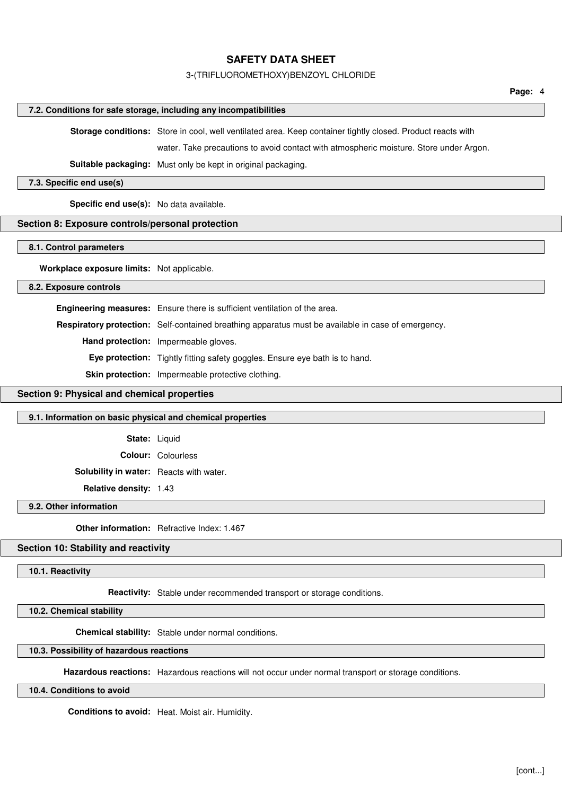## 3-(TRIFLUOROMETHOXY)BENZOYL CHLORIDE

## **7.2. Conditions for safe storage, including any incompatibilities**

**Storage conditions:** Store in cool, well ventilated area. Keep container tightly closed. Product reacts with

water. Take precautions to avoid contact with atmospheric moisture. Store under Argon.

**Suitable packaging:** Must only be kept in original packaging.

#### **7.3. Specific end use(s)**

**Specific end use(s):** No data available.

## **Section 8: Exposure controls/personal protection**

**8.1. Control parameters**

**Workplace exposure limits:** Not applicable.

**8.2. Exposure controls**

**Engineering measures:** Ensure there is sufficient ventilation of the area.

**Respiratory protection:** Self-contained breathing apparatus must be available in case of emergency.

**Hand protection:** Impermeable gloves.

**Eye protection:** Tightly fitting safety goggles. Ensure eye bath is to hand.

**Skin protection:** Impermeable protective clothing.

# **Section 9: Physical and chemical properties**

## **9.1. Information on basic physical and chemical properties**

**State:** Liquid

**Colour:** Colourless

**Solubility in water:** Reacts with water.

**Relative density:** 1.43

# **9.2. Other information**

**Other information:** Refractive Index: 1.467

## **Section 10: Stability and reactivity**

## **10.1. Reactivity**

**Reactivity:** Stable under recommended transport or storage conditions.

**10.2. Chemical stability**

**Chemical stability:** Stable under normal conditions.

# **10.3. Possibility of hazardous reactions**

**Hazardous reactions:** Hazardous reactions will not occur under normal transport or storage conditions.

**10.4. Conditions to avoid**

**Conditions to avoid:** Heat. Moist air. Humidity.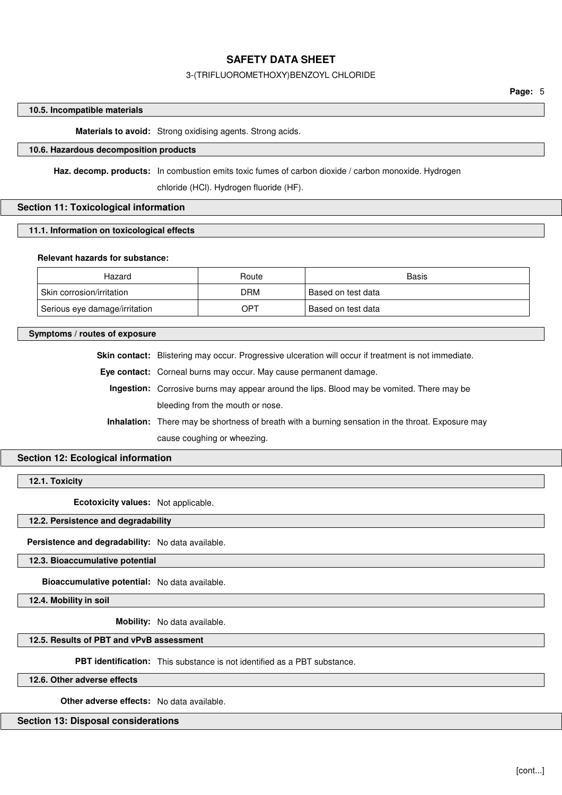## 3-(TRIFLUOROMETHOXY)BENZOYL CHLORIDE

## **10.5. Incompatible materials**

**Materials to avoid:** Strong oxidising agents. Strong acids.

# **10.6. Hazardous decomposition products**

**Haz. decomp. products:** In combustion emits toxic fumes of carbon dioxide / carbon monoxide. Hydrogen

chloride (HCl). Hydrogen fluoride (HF).

# **Section 11: Toxicological information**

## **11.1. Information on toxicological effects**

## **Relevant hazards for substance:**

| Hazard                        | Route | Basis                |
|-------------------------------|-------|----------------------|
| Skin corrosion/irritation     | DRM   | Based on test data   |
| Serious eye damage/irritation | OPT   | ' Based on test data |

## **Symptoms / routes of exposure**

**Skin contact:** Blistering may occur. Progressive ulceration will occur if treatment is not immediate.

**Eye contact:** Corneal burns may occur. May cause permanent damage.

**Ingestion:** Corrosive burns may appear around the lips. Blood may be vomited. There may be bleeding from the mouth or nose.

**Inhalation:** There may be shortness of breath with a burning sensation in the throat. Exposure may cause coughing or wheezing.

# **Section 12: Ecological information**

**12.1. Toxicity**

**Ecotoxicity values:** Not applicable.

# **12.2. Persistence and degradability**

**Persistence and degradability:** No data available.

**12.3. Bioaccumulative potential**

**Bioaccumulative potential:** No data available.

**12.4. Mobility in soil**

**Mobility:** No data available.

### **12.5. Results of PBT and vPvB assessment**

**PBT identification:** This substance is not identified as a PBT substance.

**12.6. Other adverse effects**

**Other adverse effects:** No data available.

## **Section 13: Disposal considerations**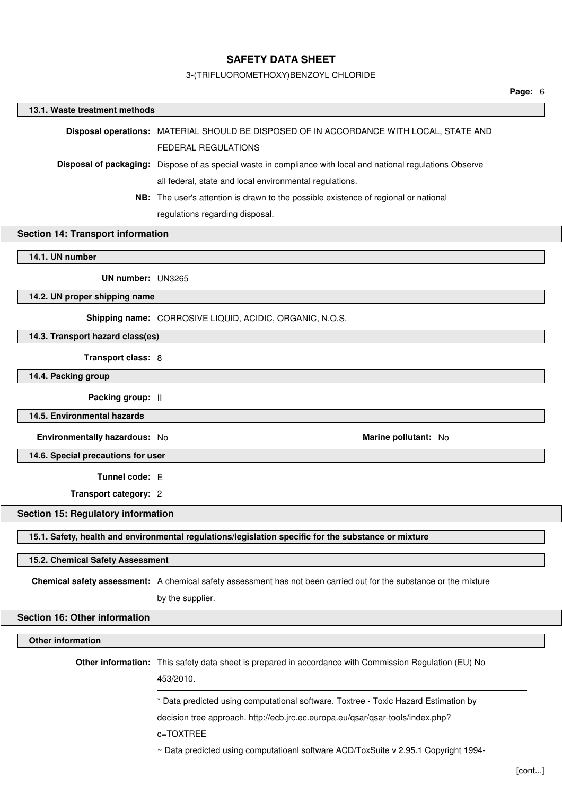## 3-(TRIFLUOROMETHOXY)BENZOYL CHLORIDE

#### **Page:** 6

# **13.1. Waste treatment methods Disposal operations:** MATERIAL SHOULD BE DISPOSED OF IN ACCORDANCE WITH LOCAL, STATE AND FEDERAL REGULATIONS **Disposal of packaging:** Dispose of as special waste in compliance with local and national regulations Observe all federal, state and local environmental regulations. **NB:** The user's attention is drawn to the possible existence of regional or national regulations regarding disposal. **Section 14: Transport information 14.1. UN number UN number:** UN3265 **14.2. UN proper shipping name Shipping name:** CORROSIVE LIQUID, ACIDIC, ORGANIC, N.O.S. **14.3. Transport hazard class(es) Transport class:** 8 **14.4. Packing group Packing group:** II **14.5. Environmental hazards Environmentally hazardous:** No **Marine pollutant:** No **14.6. Special precautions for user Tunnel code:** E **Transport category:** 2

**Section 15: Regulatory information**

**15.1. Safety, health and environmental regulations/legislation specific for the substance or mixture**

## **15.2. Chemical Safety Assessment**

**Chemical safety assessment:** A chemical safety assessment has not been carried out for the substance or the mixture

by the supplier.

## **Section 16: Other information**

**Other information**

**Other information:** This safety data sheet is prepared in accordance with Commission Regulation (EU) No 453/2010.

\* Data predicted using computational software. Toxtree - Toxic Hazard Estimation by

decision tree approach. http://ecb.jrc.ec.europa.eu/qsar/qsar-tools/index.php?

c=TOXTREE

~ Data predicted using computatioanl software ACD/ToxSuite v 2.95.1 Copyright 1994-